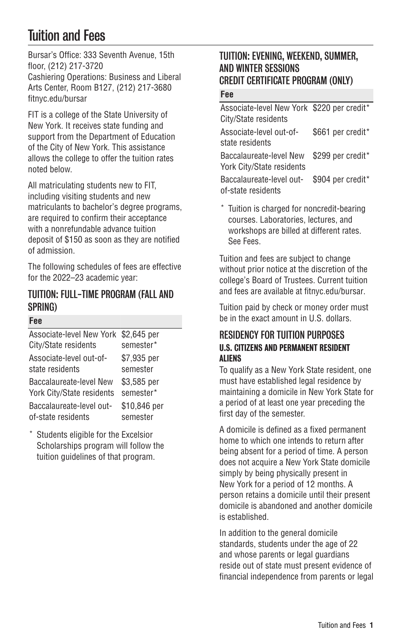# Tuition and Fees

Bursar's Office: 333 Seventh Avenue, 15th floor, (212) 217-3720 Cashiering Operations: Business and Liberal Arts Center, Room B127, (212) 217-3680 [fitnyc.edu/bursar](http://fitnyc.edu/bursar/)

FIT is a college of the State University of New York. It receives state funding and support from the Department of Education of the City of New York. This assistance allows the college to offer the tuition rates noted below.

All matriculating students new to FIT, including visiting students and new matriculants to bachelor's degree programs, are required to confirm their acceptance with a nonrefundable advance tuition deposit of \$150 as soon as they are notified of admission.

The following schedules of fees are effective for the 2022–23 academic year:

## TUITION: FULL-TIME PROGRAM (FALL AND SPRING)

#### **Fee**

| Associate-level New York                       | \$2.645 per              |
|------------------------------------------------|--------------------------|
| City/State residents                           | semester*                |
| Associate-level out-of-                        | \$7,935 per              |
| state residents                                | semester                 |
| Baccalaureate-level New                        | \$3,585 per              |
| York City/State residents                      | semester*                |
| Baccalaureate-level out-<br>of-state residents | \$10,846 per<br>semester |
|                                                |                          |

Students eligible for the Excelsior Scholarships program will follow the tuition guidelines of that program.

# TUITION: EVENING, WEEKEND, SUMMER, AND WINTER SESSIONS CREDIT CERTIFICATE PROGRAM (ONLY)

#### **Fee**

| Associate-level New York \$220 per credit* |                        |
|--------------------------------------------|------------------------|
| City/State residents                       |                        |
| Associate-level out-of-                    | \$661 per credit*      |
| state residents                            |                        |
| Baccalaureate-level New \$299 per credit*  |                        |
| York City/State residents                  |                        |
| Docoglouragh Jouel out                     | $0.001$ nor aradit $*$ |

Baccalaureate-level outof-state residents \$904 per credit\*

\* Tuition is charged for noncredit-bearing courses. Laboratories, lectures, and workshops are billed at different rates. See Fees.

Tuition and fees are subject to change without prior notice at the discretion of the college's Board of Trustees. Current tuition and fees are available at [fitnyc.edu/bursar](http://fitnyc.edu/bursar/).

Tuition paid by check or money order must be in the exact amount in U.S. dollars.

## RESIDENCY FOR TUITION PURPOSES U.S. CITIZENS AND PERMANENT RESIDENT **ALIENS**

To qualify as a New York State resident, one must have established legal residence by maintaining a domicile in New York State for a period of at least one year preceding the first day of the semester.

A domicile is defined as a fixed permanent home to which one intends to return after being absent for a period of time. A person does not acquire a New York State domicile simply by being physically present in New York for a period of 12 months. A person retains a domicile until their present domicile is abandoned and another domicile is established.

In addition to the general domicile standards, students under the age of 22 and whose parents or legal guardians reside out of state must present evidence of financial independence from parents or legal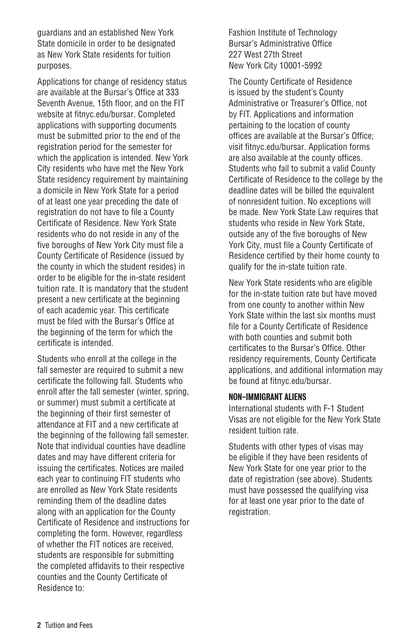guardians and an established New York State domicile in order to be designated as New York State residents for tuition purposes.

Applications for change of residency status are available at the Bursar's Office at 333 Seventh Avenue, 15th floor, and on the FIT website at [fitnyc.edu/bursar.](http://fitnyc.edu/bursar/) Completed applications with supporting documents must be submitted prior to the end of the registration period for the semester for which the application is intended. New York City residents who have met the New York State residency requirement by maintaining a domicile in New York State for a period of at least one year preceding the date of registration do not have to file a County Certificate of Residence. New York State residents who do not reside in any of the five boroughs of New York City must file a County Certificate of Residence (issued by the county in which the student resides) in order to be eligible for the in-state resident tuition rate. It is mandatory that the student present a new certificate at the beginning of each academic year. This certificate must be filed with the Bursar's Office at the beginning of the term for which the certificate is intended.

Students who enroll at the college in the fall semester are required to submit a new certificate the following fall. Students who enroll after the fall semester (winter, spring, or summer) must submit a certificate at the beginning of their first semester of attendance at FIT and a new certificate at the beginning of the following fall semester. Note that individual counties have deadline dates and may have different criteria for issuing the certificates. Notices are mailed each year to continuing FIT students who are enrolled as New York State residents reminding them of the deadline dates along with an application for the County Certificate of Residence and instructions for completing the form. However, regardless of whether the FIT notices are received, students are responsible for submitting the completed affidavits to their respective counties and the County Certificate of Residence to:

Fashion Institute of Technology Bursar's Administrative Office 227 West 27th Street New York City 10001-5992

The County Certificate of Residence is issued by the student's County Administrative or Treasurer's Office, not by FIT. Applications and information pertaining to the location of county offices are available at the Bursar's Office; visit [fitnyc.edu/bursar](http://fitnyc.edu/bursar/). Application forms are also available at the county offices. Students who fail to submit a valid County Certificate of Residence to the college by the deadline dates will be billed the equivalent of nonresident tuition. No exceptions will be made. New York State Law requires that students who reside in New York State, outside any of the five boroughs of New York City, must file a County Certificate of Residence certified by their home county to qualify for the in-state tuition rate.

New York State residents who are eligible for the in-state tuition rate but have moved from one county to another within New York State within the last six months must file for a County Certificate of Residence with both counties and submit both certificates to the Bursar's Office. Other residency requirements, County Certificate applications, and additional information may be found at [fitnyc.edu/bursar](http://fitnyc.edu/bursar/).

#### NON-IMMIGRANT ALIENS

International students with F-1 Student Visas are not eligible for the New York State resident tuition rate.

Students with other types of visas may be eligible if they have been residents of New York State for one year prior to the date of registration (see above). Students must have possessed the qualifying visa for at least one year prior to the date of registration.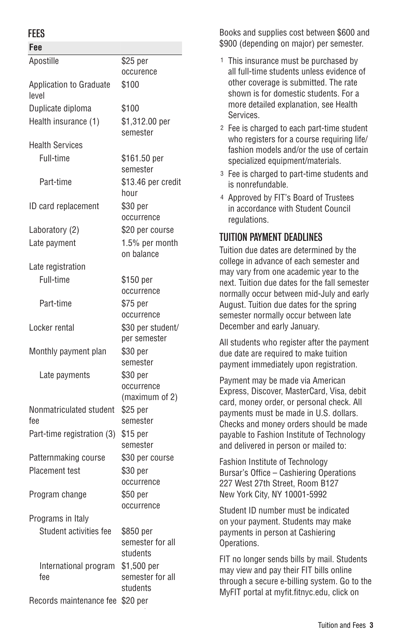### **FEES**

| Fee                                     |                                             |
|-----------------------------------------|---------------------------------------------|
| Apostille                               | \$25 per                                    |
|                                         | occurence                                   |
| <b>Application to Graduate</b><br>level | \$100                                       |
| Duplicate diploma                       | \$100                                       |
| Health insurance (1)                    | \$1,312.00 per<br>semester                  |
| <b>Health Services</b>                  |                                             |
| Full-time                               | \$161.50 per<br>semester                    |
| Part-time                               | \$13.46 per credit<br>hour                  |
| ID card replacement                     | \$30 per<br>occurrence                      |
| Laboratory (2)                          | \$20 per course                             |
| Late payment                            | 1.5% per month<br>on balance                |
| Late registration                       |                                             |
| Full-time                               | \$150 per<br>occurrence                     |
| Part-time                               | \$75 per<br>occurrence                      |
| Locker rental                           | \$30 per student/<br>per semester           |
| Monthly payment plan                    | \$30 per<br>semester                        |
| Late payments                           | \$30 per<br>occurrence<br>(maximum of 2)    |
| Nonmatriculated student<br>fee          | \$25 per<br>semester                        |
| Part-time registration (3)              | \$15 per<br>semester                        |
| Patternmaking course                    | \$30 per course                             |
| <b>Placement test</b>                   | \$30 per<br>occurrence                      |
| Program change                          | \$50 per<br>occurrence                      |
| Programs in Italy                       |                                             |
| Student activities fee                  | \$850 per<br>semester for all<br>students   |
| International program<br>fee            | \$1,500 per<br>semester for all<br>students |
| Records maintenance fee \$20 per        |                                             |

Books and supplies cost between \$600 and \$900 (depending on major) per semester.

- 1 This insurance must be purchased by all full-time students unless evidence of other coverage is submitted. The rate shown is for domestic students. For a more detailed explanation, see [Health](https://www.fitnyc.edu/life-at-fit/health-and-wellness/health-services/) [Services](https://www.fitnyc.edu/life-at-fit/health-and-wellness/health-services/).
- 2 Fee is charged to each part-time student who registers for a course requiring life/ fashion models and/or the use of certain specialized equipment/materials.
- 3 Fee is charged to part-time students and is nonrefundable.
- 4 Approved by FIT's Board of Trustees in accordance with Student Council regulations.

# TUITION PAYMENT DEADLINES

Tuition due dates are determined by the college in advance of each semester and may vary from one academic year to the next. Tuition due dates for the fall semester normally occur between mid-July and early August. Tuition due dates for the spring semester normally occur between late December and early January.

All students who register after the payment due date are required to make tuition payment immediately upon registration.

Payment may be made via American Express, Discover, MasterCard, Visa, debit card, money order, or personal check. All payments must be made in U.S. dollars. Checks and money orders should be made payable to Fashion Institute of Technology and delivered in person or mailed to:

Fashion Institute of Technology Bursar's Office – Cashiering Operations 227 West 27th Street, Room B127 New York City, NY 10001-5992

Student ID number must be indicated on your payment. Students may make payments in person at Cashiering Operations.

FIT no longer sends bills by mail. Students may view and pay their FIT bills online through a secure e-billing system. Go to the MyFIT portal at [myfit.fitnyc.edu](http://myfit.fitnyc.edu/), click on